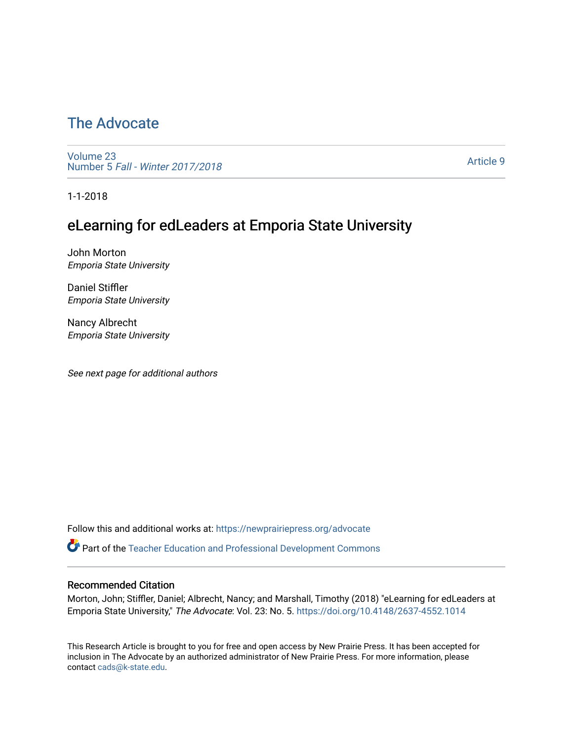# [The Advocate](https://newprairiepress.org/advocate)

[Volume 23](https://newprairiepress.org/advocate/vol23) Number 5 [Fall - Winter 2017/2018](https://newprairiepress.org/advocate/vol23/iss5) 

[Article 9](https://newprairiepress.org/advocate/vol23/iss5/9) 

1-1-2018

# eLearning for edLeaders at Emporia State University

John Morton Emporia State University

Daniel Stiffler Emporia State University

Nancy Albrecht Emporia State University

See next page for additional authors

Follow this and additional works at: [https://newprairiepress.org/advocate](https://newprairiepress.org/advocate?utm_source=newprairiepress.org%2Fadvocate%2Fvol23%2Fiss5%2F9&utm_medium=PDF&utm_campaign=PDFCoverPages) 

Part of the [Teacher Education and Professional Development Commons](http://network.bepress.com/hgg/discipline/803?utm_source=newprairiepress.org%2Fadvocate%2Fvol23%2Fiss5%2F9&utm_medium=PDF&utm_campaign=PDFCoverPages) 

#### Recommended Citation

Morton, John; Stiffler, Daniel; Albrecht, Nancy; and Marshall, Timothy (2018) "eLearning for edLeaders at Emporia State University," The Advocate: Vol. 23: No. 5.<https://doi.org/10.4148/2637-4552.1014>

This Research Article is brought to you for free and open access by New Prairie Press. It has been accepted for inclusion in The Advocate by an authorized administrator of New Prairie Press. For more information, please contact [cads@k-state.edu](mailto:cads@k-state.edu).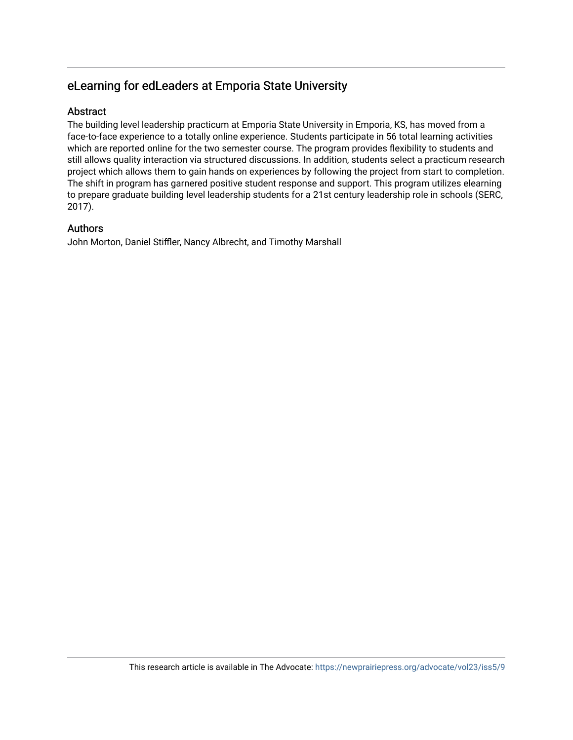# eLearning for edLeaders at Emporia State University

### Abstract

The building level leadership practicum at Emporia State University in Emporia, KS, has moved from a face-to-face experience to a totally online experience. Students participate in 56 total learning activities which are reported online for the two semester course. The program provides flexibility to students and still allows quality interaction via structured discussions. In addition, students select a practicum research project which allows them to gain hands on experiences by following the project from start to completion. The shift in program has garnered positive student response and support. This program utilizes elearning to prepare graduate building level leadership students for a 21st century leadership role in schools (SERC, 2017).

### Authors

John Morton, Daniel Stiffler, Nancy Albrecht, and Timothy Marshall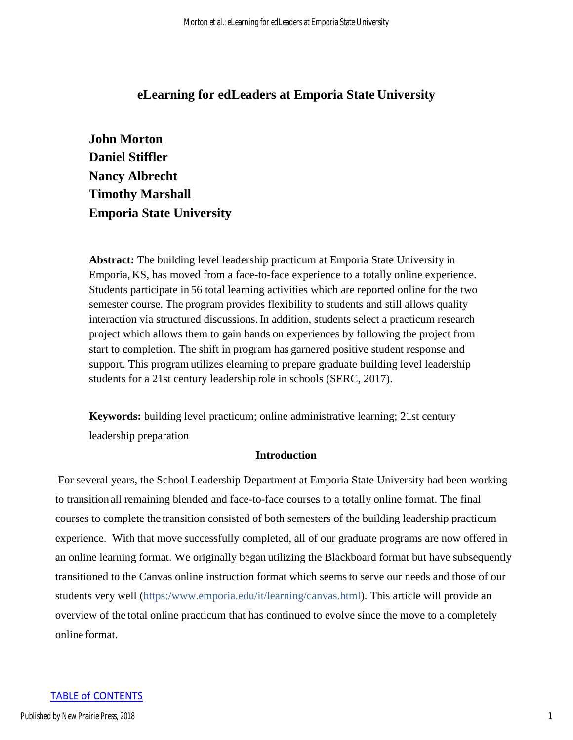# **eLearning for edLeaders at Emporia State University**

**John Morton Daniel Stiffler Nancy Albrecht Timothy Marshall Emporia State University** 

**Abstract:** The building level leadership practicum at Emporia State University in Emporia, KS, has moved from a face-to-face experience to a totally online experience. Students participate in 56 total learning activities which are reported online for the two semester course. The program provides flexibility to students and still allows quality interaction via structured discussions. In addition, students select a practicum research project which allows them to gain hands on experiences by following the project from start to completion. The shift in program has garnered positive student response and support. This program utilizes elearning to prepare graduate building level leadership students for a 21st century leadership role in schools (SERC, 2017).

**Keywords:** building level practicum; online administrative learning; 21st century leadership preparation

#### **Introduction**

For several years, the School Leadership Department at Emporia State University had been working to transition all remaining blended and face-to-face courses to a totally online format. The final courses to complete the transition consisted of both semesters of the building leadership practicum experience. With that move successfully completed, all of our graduate programs are now offered in an online learning format. We originally began utilizing the Blackboard format but have subsequently transitioned to the Canvas online instruction format which seems to serve our needs and those of our students very well (https:[/www.emporia.edu/it/learning/canvas.html\)](http://www.emporia.edu/it/learning/canvas.html). This article will provide an overview of the total online practicum that has continued to evolve since the move to a completely online format.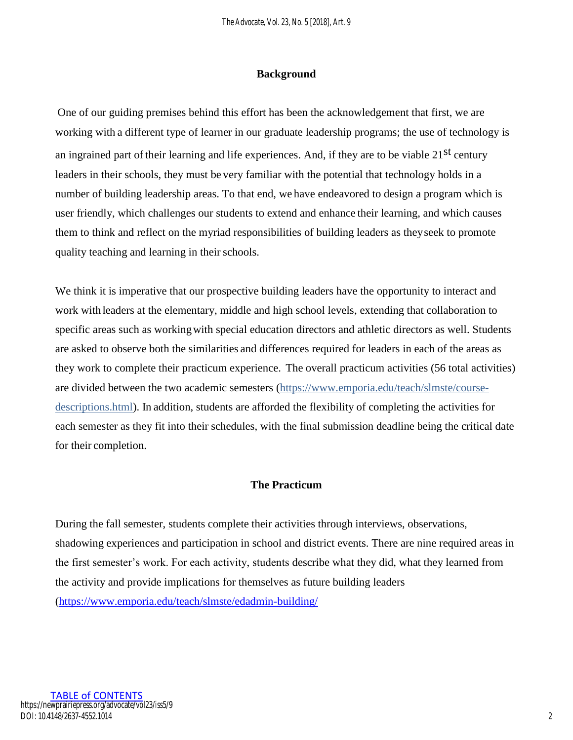### **Background**

One of our guiding premises behind this effort has been the acknowledgement that first, we are working with a different type of learner in our graduate leadership programs; the use of technology is an ingrained part of their learning and life experiences. And, if they are to be viable 21<sup>st</sup> century leaders in their schools, they must be very familiar with the potential that technology holds in a number of building leadership areas. To that end, we have endeavored to design a program which is user friendly, which challenges our students to extend and enhance their learning, and which causes them to think and reflect on the myriad responsibilities of building leaders as they seek to promote quality teaching and learning in their schools.

We think it is imperative that our prospective building leaders have the opportunity to interact and work with leaders at the elementary, middle and high school levels, extending that collaboration to specific areas such as working with special education directors and athletic directors as well. Students are asked to observe both the similarities and differences required for leaders in each of the areas as they work to complete their practicum experience. The overall practicum activities (56 total activities) are divided between the two academic semesters [\(https://www.emporia.edu/teach/slmste/course](https://www.emporia.edu/teach/slmste/course-descriptions.html)[descriptions.html\)](https://www.emporia.edu/teach/slmste/course-descriptions.html). In addition, students are afforded the flexibility of completing the activities for each semester as they fit into their schedules, with the final submission deadline being the critical date for their completion.

# **The Practicum**

During the fall semester, students complete their activities through interviews, observations, shadowing experiences and participation in school and district events. There are nine required areas in the first semester's work. For each activity, students describe what they did, what they learned from the activity and provide implications for themselves as future building leaders [\(https://www.emporia.edu/teach/slmste/edadmin-building/](https://www.emporia.edu/teach/slmste/edadmin-building/)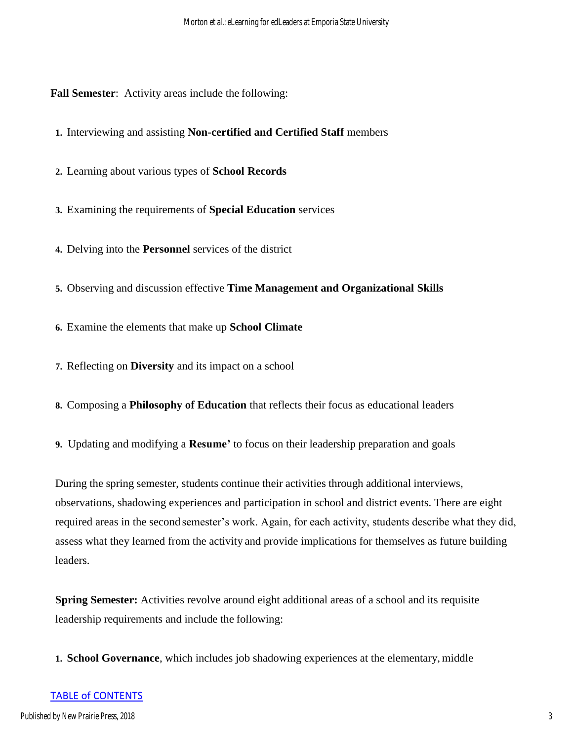**Fall Semester**: Activity areas include the following:

**1.** Interviewing and assisting **Non-certified and Certified Staff** members

- **2.** Learning about various types of **School Records**
- **3.** Examining the requirements of **Special Education** services
- **4.** Delving into the **Personnel** services of the district
- **5.** Observing and discussion effective **Time Management and Organizational Skills**
- **6.** Examine the elements that make up **School Climate**
- **7.** Reflecting on **Diversity** and its impact on a school
- **8.** Composing a **Philosophy of Education** that reflects their focus as educational leaders
- **9.** Updating and modifying a **Resume'** to focus on their leadership preparation and goals

During the spring semester, students continue their activities through additional interviews, observations, shadowing experiences and participation in school and district events. There are eight required areas in the second semester's work. Again, for each activity, students describe what they did, assess what they learned from the activity and provide implications for themselves as future building leaders.

**Spring Semester:** Activities revolve around eight additional areas of a school and its requisite leadership requirements and include the following:

**1. School Governance**, which includes job shadowing experiences at the elementary, middle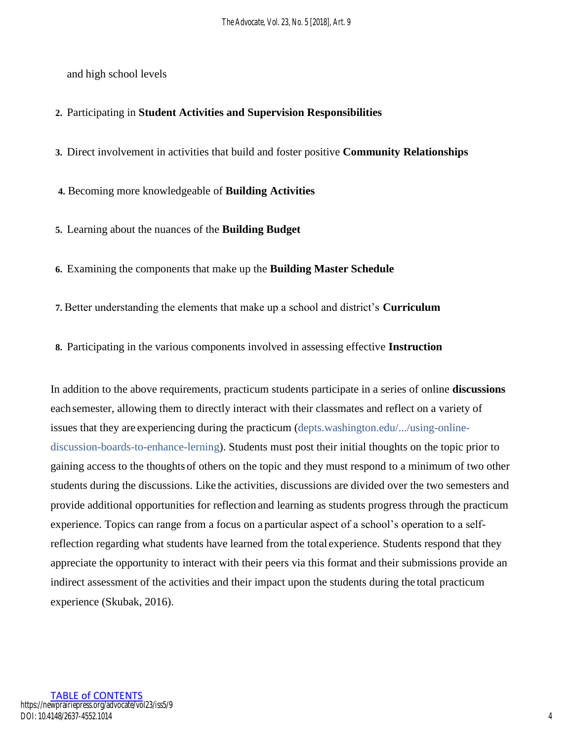and high school levels

### **2.** Participating in **Student Activities and Supervision Responsibilities**

**3.** Direct involvement in activities that build and foster positive **Community Relationships**

**4.** Becoming more knowledgeable of **Building Activities**

**5.** Learning about the nuances of the **Building Budget**

**6.** Examining the components that make up the **Building Master Schedule**

**7.** Better understanding the elements that make up a school and district's **Curriculum**

**8.** Participating in the various components involved in assessing effective **Instruction**

In addition to the above requirements, practicum students participate in a series of online **discussions**  each semester, allowing them to directly interact with their classmates and reflect on a variety of issues that they are experiencing during the practicum (depts.washington.edu/.../using-onlinediscussion-boards-to-enhance-lerning). Students must post their initial thoughts on the topic prior to gaining access to the thoughts of others on the topic and they must respond to a minimum of two other students during the discussions. Like the activities, discussions are divided over the two semesters and provide additional opportunities for reflection and learning as students progress through the practicum experience. Topics can range from a focus on a particular aspect of a school's operation to a selfreflection regarding what students have learned from the total experience. Students respond that they appreciate the opportunity to interact with their peers via this format and their submissions provide an indirect assessment of the activities and their impact upon the students during the total practicum experience (Skubak, 2016).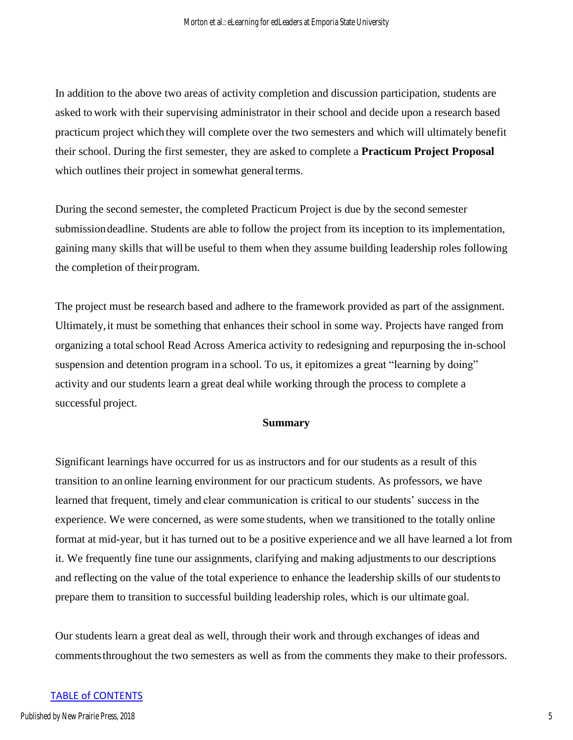In addition to the above two areas of activity completion and discussion participation, students are asked to work with their supervising administrator in their school and decide upon a research based practicum project which they will complete over the two semesters and which will ultimately benefit their school. During the first semester, they are asked to complete a **Practicum Project Proposal**  which outlines their project in somewhat general terms.

During the second semester, the completed Practicum Project is due by the second semester submission deadline. Students are able to follow the project from its inception to its implementation, gaining many skills that will be useful to them when they assume building leadership roles following the completion of their program.

The project must be research based and adhere to the framework provided as part of the assignment. Ultimately, it must be something that enhances their school in some way. Projects have ranged from organizing a total school Read Across America activity to redesigning and repurposing the in-school suspension and detention program in a school. To us, it epitomizes a great "learning by doing" activity and our students learn a great deal while working through the process to complete a successful project.

#### **Summary**

Significant learnings have occurred for us as instructors and for our students as a result of this transition to an online learning environment for our practicum students. As professors, we have learned that frequent, timely and clear communication is critical to our students' success in the experience. We were concerned, as were some students, when we transitioned to the totally online format at mid-year, but it has turned out to be a positive experience and we all have learned a lot from it. We frequently fine tune our assignments, clarifying and making adjustments to our descriptions and reflecting on the value of the total experience to enhance the leadership skills of our students to prepare them to transition to successful building leadership roles, which is our ultimate goal.

Our students learn a great deal as well, through their work and through exchanges of ideas and comments throughout the two semesters as well as from the comments they make to their professors.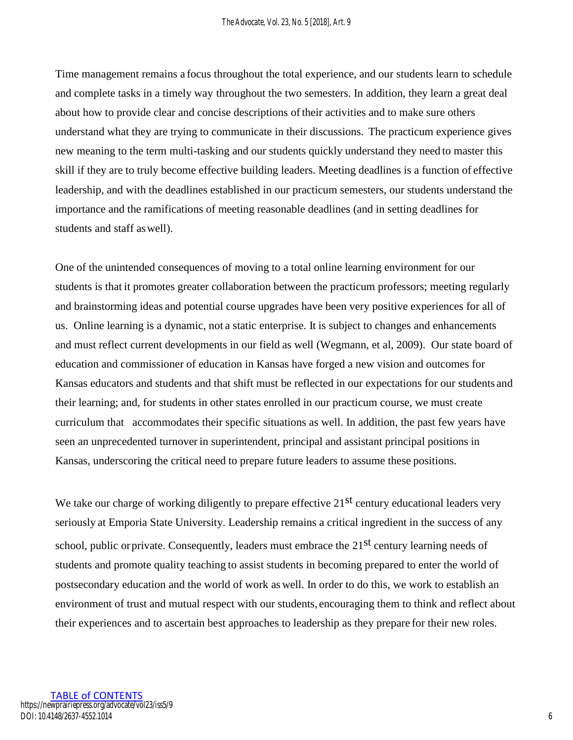Time management remains a focus throughout the total experience, and our students learn to schedule and complete tasks in a timely way throughout the two semesters. In addition, they learn a great deal about how to provide clear and concise descriptions of their activities and to make sure others understand what they are trying to communicate in their discussions. The practicum experience gives new meaning to the term multi-tasking and our students quickly understand they need to master this skill if they are to truly become effective building leaders. Meeting deadlines is a function of effective leadership, and with the deadlines established in our practicum semesters, our students understand the importance and the ramifications of meeting reasonable deadlines (and in setting deadlines for students and staff as well).

One of the unintended consequences of moving to a total online learning environment for our students is that it promotes greater collaboration between the practicum professors; meeting regularly and brainstorming ideas and potential course upgrades have been very positive experiences for all of us. Online learning is a dynamic, not a static enterprise. It is subject to changes and enhancements and must reflect current developments in our field as well (Wegmann, et al, 2009). Our state board of education and commissioner of education in Kansas have forged a new vision and outcomes for Kansas educators and students and that shift must be reflected in our expectations for our students and their learning; and, for students in other states enrolled in our practicum course, we must create curriculum that accommodates their specific situations as well. In addition, the past few years have seen an unprecedented turnover in superintendent, principal and assistant principal positions in Kansas, underscoring the critical need to prepare future leaders to assume these positions.

We take our charge of working diligently to prepare effective  $21<sup>st</sup>$  century educational leaders very seriously at Emporia State University. Leadership remains a critical ingredient in the success of any school, public or private. Consequently, leaders must embrace the  $21<sup>st</sup>$  century learning needs of students and promote quality teaching to assist students in becoming prepared to enter the world of postsecondary education and the world of work as well. In order to do this, we work to establish an environment of trust and mutual respect with our students, encouraging them to think and reflect about their experiences and to ascertain best approaches to leadership as they prepare for their new roles.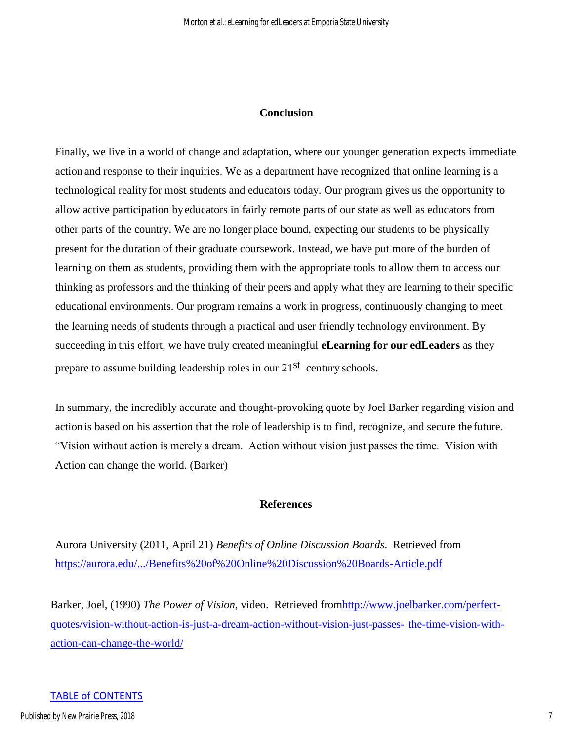#### **Conclusion**

Finally, we live in a world of change and adaptation, where our younger generation expects immediate action and response to their inquiries. We as a department have recognized that online learning is a technological reality for most students and educators today. Our program gives us the opportunity to allow active participation by educators in fairly remote parts of our state as well as educators from other parts of the country. We are no longer place bound, expecting our students to be physically present for the duration of their graduate coursework. Instead, we have put more of the burden of learning on them as students, providing them with the appropriate tools to allow them to access our thinking as professors and the thinking of their peers and apply what they are learning to their specific educational environments. Our program remains a work in progress, continuously changing to meet the learning needs of students through a practical and user friendly technology environment. By succeeding in this effort, we have truly created meaningful **eLearning for our edLeaders** as they prepare to assume building leadership roles in our 21<sup>st</sup> century schools.

In summary, the incredibly accurate and thought-provoking quote by Joel Barker regarding vision and action is based on his assertion that the role of leadership is to find, recognize, and secure the future. "Vision without action is merely a dream. Action without vision just passes the time. Vision with Action can change the world. (Barker)

# **References**

Aurora University (2011, April 21) *Benefits of Online Discussion Boards*. Retrieved from <https://aurora.edu/.../Benefits%20of%20Online%20Discussion%20Boards-Article.pdf>

Barker, Joel, (1990) *The Power of Vision,* video. Retrieved fro[mhttp://www.joelbarker.com/perfect](http://www.joelbarker.com/perfect-%20%20%20%20%20%20%20quotes/vision-without-action-is-just-a-dream-action-without-vision-just-passes-)[quotes/vision-without-action-is-just-a-dream-action-without-vision-just-passes-](http://www.joelbarker.com/perfect-%20%20%20%20%20%20%20quotes/vision-without-action-is-just-a-dream-action-without-vision-just-passes-) [the-time-vision-with](http://www.joelbarker.com/perfect-quotes/vision-without-action-is-just-a-dream-action-without-vision-just-passes-the-time-vision-with-action-can-change-the-world/)[action-can-change-the-world/](http://www.joelbarker.com/perfect-quotes/vision-without-action-is-just-a-dream-action-without-vision-just-passes-the-time-vision-with-action-can-change-the-world/)